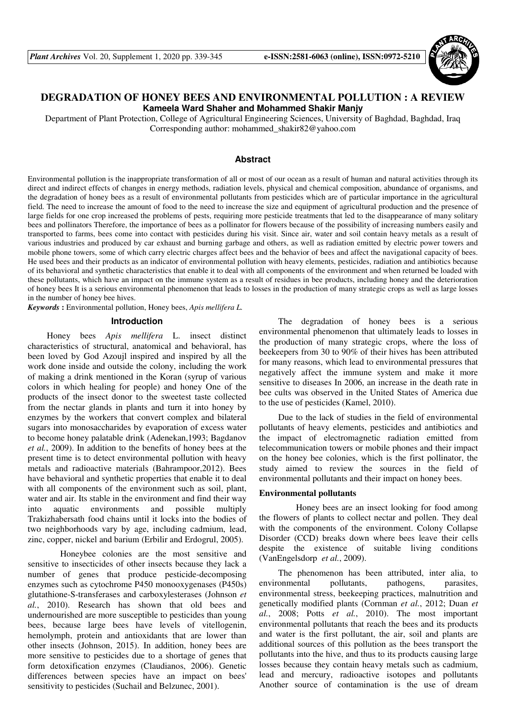

# **DEGRADATION OF HONEY BEES AND ENVIRONMENTAL POLLUTION : A REVIEW Kameela Ward Shaher and Mohammed Shakir Manjy**

Department of Plant Protection, College of Agricultural Engineering Sciences, University of Baghdad, Baghdad, Iraq Corresponding author: mohammed\_shakir82@yahoo.com

## **Abstract**

Environmental pollution is the inappropriate transformation of all or most of our ocean as a result of human and natural activities through its direct and indirect effects of changes in energy methods, radiation levels, physical and chemical composition, abundance of organisms, and the degradation of honey bees as a result of environmental pollutants from pesticides which are of particular importance in the agricultural field. The need to increase the amount of food to the need to increase the size and equipment of agricultural production and the presence of large fields for one crop increased the problems of pests, requiring more pesticide treatments that led to the disappearance of many solitary bees and pollinators Therefore, the importance of bees as a pollinator for flowers because of the possibility of increasing numbers easily and transported to farms, bees come into contact with pesticides during his visit. Since air, water and soil contain heavy metals as a result of various industries and produced by car exhaust and burning garbage and others, as well as radiation emitted by electric power towers and mobile phone towers, some of which carry electric charges affect bees and the behavior of bees and affect the navigational capacity of bees. He used bees and their products as an indicator of environmental pollution with heavy elements, pesticides, radiation and antibiotics because of its behavioral and synthetic characteristics that enable it to deal with all components of the environment and when returned be loaded with these pollutants, which have an impact on the immune system as a result of residues in bee products, including honey and the deterioration of honey bees It is a serious environmental phenomenon that leads to losses in the production of many strategic crops as well as large losses in the number of honey bee hives.

*Keywords* **:** Environmental pollution, Honey bees, *Apis mellifera L.*

# **Introduction**

Honey bees *Apis mellifera* L. insect distinct characteristics of structural, anatomical and behavioral, has been loved by God Azoujl inspired and inspired by all the work done inside and outside the colony, including the work of making a drink mentioned in the Koran (syrup of various colors in which healing for people) and honey One of the products of the insect donor to the sweetest taste collected from the nectar glands in plants and turn it into honey by enzymes by the workers that convert complex and bilateral sugars into monosaccharides by evaporation of excess water to become honey palatable drink (Adenekan,1993; Bagdanov *et al.*, 2009). In addition to the benefits of honey bees at the present time is to detect environmental pollution with heavy metals and radioactive materials (Bahrampoor,2012). Bees have behavioral and synthetic properties that enable it to deal with all components of the environment such as soil, plant, water and air. Its stable in the environment and find their way<br>into aquatic environments and possible multiply into aquatic environments and possible multiply Trakizhabersath food chains until it locks into the bodies of two neighborhoods vary by age, including cadmium, lead, zinc, copper, nickel and barium (Erbilir and Erdogrul, 2005).

 Honeybee colonies are the most sensitive and sensitive to insecticides of other insects because they lack a number of genes that produce pesticide-decomposing enzymes such as cytochrome P450 monooxygenases (P450s) glutathione-S-transferases and carboxylesterases (Johnson *et al.*, 2010). Research has shown that old bees and undernourished are more susceptible to pesticides than young bees, because large bees have levels of vitellogenin, hemolymph, protein and antioxidants that are lower than other insects (Johnson, 2015). In addition, honey bees are more sensitive to pesticides due to a shortage of genes that form detoxification enzymes (Claudianos, 2006). Genetic differences between species have an impact on bees' sensitivity to pesticides (Suchail and Belzunec, 2001).

The degradation of honey bees is a serious environmental phenomenon that ultimately leads to losses in the production of many strategic crops, where the loss of beekeepers from 30 to 90% of their hives has been attributed for many reasons, which lead to environmental pressures that negatively affect the immune system and make it more sensitive to diseases In 2006, an increase in the death rate in bee cults was observed in the United States of America due to the use of pesticides (Kamel, 2010).

Due to the lack of studies in the field of environmental pollutants of heavy elements, pesticides and antibiotics and the impact of electromagnetic radiation emitted from telecommunication towers or mobile phones and their impact on the honey bee colonies, which is the first pollinator, the study aimed to review the sources in the field of environmental pollutants and their impact on honey bees.

# **Environmental pollutants**

 Honey bees are an insect looking for food among the flowers of plants to collect nectar and pollen. They deal with the components of the environment. Colony Collapse Disorder (CCD) breaks down where bees leave their cells despite the existence of suitable living conditions (VanEngelsdorp *et al.*, 2009).

The phenomenon has been attributed, inter alia, to environmental pollutants, pathogens, parasites, environmental stress, beekeeping practices, malnutrition and genetically modified plants (Cornman *et al.*, 2012; Duan *et al.*, 2008; Potts *et al.*, 2010). The most important environmental pollutants that reach the bees and its products and water is the first pollutant, the air, soil and plants are additional sources of this pollution as the bees transport the pollutants into the hive, and thus to its products causing large losses because they contain heavy metals such as cadmium, lead and mercury, radioactive isotopes and pollutants Another source of contamination is the use of dream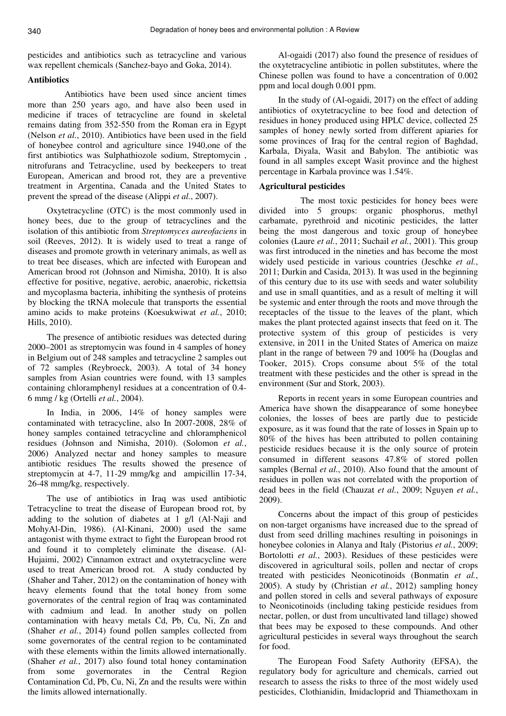pesticides and antibiotics such as tetracycline and various wax repellent chemicals (Sanchez-bayo and Goka, 2014).

# **Antibiotics**

 Antibiotics have been used since ancient times more than 250 years ago, and have also been used in medicine if traces of tetracycline are found in skeletal remains dating from 352-550 from the Roman era in Egypt (Nelson *et al.*, 2010). Antibiotics have been used in the field of honeybee control and agriculture since 1940,one of the first antibiotics was Sulphathiozole sodium, Streptomycin , nitrofurans and Tetracycline, used by beekeepers to treat European, American and brood rot, they are a preventive treatment in Argentina, Canada and the United States to prevent the spread of the disease (Alippi *et al.*, 2007).

Oxytetracycline (OTC) is the most commonly used in honey bees, due to the group of tetracyclines and the isolation of this antibiotic from *Streptomyces aureofaciens* in soil (Reeves, 2012). It is widely used to treat a range of diseases and promote growth in veterinary animals, as well as to treat bee diseases, which are infected with European and American brood rot (Johnson and Nimisha, 2010). It is also effective for positive, negative, aerobic, anaerobic, rickettsia and mycoplasma bacteria, inhibiting the synthesis of proteins by blocking the tRNA molecule that transports the essential amino acids to make proteins (Koesukwiwat *et al.*, 2010; Hills, 2010).

The presence of antibiotic residues was detected during 2000–2001 as streptomycin was found in 4 samples of honey in Belgium out of 248 samples and tetracycline 2 samples out of 72 samples (Reybroeck, 2003). A total of 34 honey samples from Asian countries were found, with 13 samples containing chloramphenyl residues at a concentration of 0.4- 6 mmg / kg (Ortelli *et al.*, 2004).

In India, in 2006, 14% of honey samples were contaminated with tetracycline, also In 2007-2008, 28% of honey samples contained tetracycline and chloramphenicol residues (Johnson and Nimisha, 2010). (Solomon *et al.*, 2006) Analyzed nectar and honey samples to measure antibiotic residues The results showed the presence of streptomycin at 4-7, 11-29 mmg/kg and ampicillin 17-34, 26-48 mmg/kg, respectively.

The use of antibiotics in Iraq was used antibiotic Tetracycline to treat the disease of European brood rot, by adding to the solution of diabetes at 1 g/l (Al-Naji and MohyAl-Din, 1986). (Al-Kinani, 2000) used the same antagonist with thyme extract to fight the European brood rot and found it to completely eliminate the disease. (Al-Hujaimi, 2002) Cinnamon extract and oxytetracycline were used to treat American brood rot. A study conducted by (Shaher and Taher, 2012) on the contamination of honey with heavy elements found that the total honey from some governorates of the central region of Iraq was contaminated with cadmium and lead. In another study on pollen contamination with heavy metals Cd, Pb, Cu, Ni, Zn and (Shaher *et al.*, 2014) found pollen samples collected from some governorates of the central region to be contaminated with these elements within the limits allowed internationally. (Shaher *et al.*, 2017) also found total honey contamination from some governorates in the Central Region Contamination Cd, Pb, Cu, Ni, Zn and the results were within the limits allowed internationally.

Al-ogaidi (2017) also found the presence of residues of the oxytetracycline antibiotic in pollen substitutes, where the Chinese pollen was found to have a concentration of 0.002 ppm and local dough 0.001 ppm.

In the study of (Al-ogaidi, 2017) on the effect of adding antibiotics of oxytetracycline to bee food and detection of residues in honey produced using HPLC device, collected 25 samples of honey newly sorted from different apiaries for some provinces of Iraq for the central region of Baghdad, Karbala, Diyala, Wasit and Babylon. The antibiotic was found in all samples except Wasit province and the highest percentage in Karbala province was 1.54%.

#### **Agricultural pesticides**

 The most toxic pesticides for honey bees were divided into 5 groups: organic phosphorus, methyl carbamate, pyrethroid and nicotinic pesticides, the latter being the most dangerous and toxic group of honeybee colonies (Laure *et al.*, 2011; Suchail *et al.*, 2001). This group was first introduced in the nineties and has become the most widely used pesticide in various countries (Jeschke *et al.*, 2011; Durkin and Casida, 2013). It was used in the beginning of this century due to its use with seeds and water solubility and use in small quantities, and as a result of melting it will be systemic and enter through the roots and move through the receptacles of the tissue to the leaves of the plant, which makes the plant protected against insects that feed on it. The protective system of this group of pesticides is very extensive, in 2011 in the United States of America on maize plant in the range of between 79 and 100% ha (Douglas and Tooker, 2015). Crops consume about 5% of the total treatment with these pesticides and the other is spread in the environment (Sur and Stork, 2003).

Reports in recent years in some European countries and America have shown the disappearance of some honeybee colonies, the losses of bees are partly due to pesticide exposure, as it was found that the rate of losses in Spain up to 80% of the hives has been attributed to pollen containing pesticide residues because it is the only source of protein consumed in different seasons 47.8% of stored pollen samples (Bernal *et al.*, 2010). Also found that the amount of residues in pollen was not correlated with the proportion of dead bees in the field (Chauzat *et al.*, 2009; Nguyen *et al.*, 2009).

Concerns about the impact of this group of pesticides on non-target organisms have increased due to the spread of dust from seed drilling machines resulting in poisonings in honeybee colonies in Alanya and Italy (Pistorius *et al.*, 2009; Bortolotti *et al.*, 2003). Residues of these pesticides were discovered in agricultural soils, pollen and nectar of crops treated with pesticides Neonicotinoids (Bonmatin *et al.*, 2005). A study by (Christian *et al.*, 2012) sampling honey and pollen stored in cells and several pathways of exposure to Neonicotinoids (including taking pesticide residues from nectar, pollen, or dust from uncultivated land tillage) showed that bees may be exposed to these compounds. And other agricultural pesticides in several ways throughout the search for food.

The European Food Safety Authority (EFSA), the regulatory body for agriculture and chemicals, carried out research to assess the risks to three of the most widely used pesticides, Clothianidin, Imidacloprid and Thiamethoxam in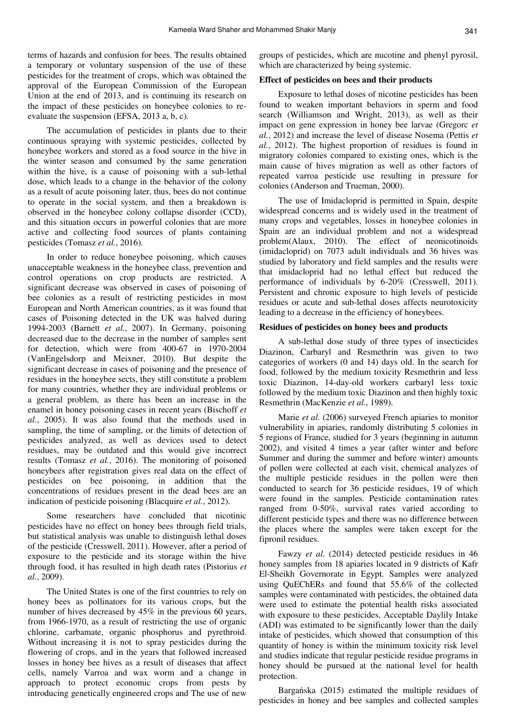terms of hazards and confusion for bees. The results obtained a temporary or voluntary suspension of the use of these pesticides for the treatment of crops, which was obtained the approval of the European Commission of the European Union at the end of 2013, and is continuing its research on the impact of these pesticides on honeybee colonies to reevaluate the suspension (EFSA, 2013 a, b, c).

The accumulation of pesticides in plants due to their continuous spraying with systemic pesticides, collected by honeybee workers and stored as a food source in the hive in the winter season and consumed by the same generation within the hive, is a cause of poisoning with a sub-lethal dose, which leads to a change in the behavior of the colony as a result of acute poisoning later, thus, bees do not continue to operate in the social system, and then a breakdown is observed in the honeybee colony collapse disorder (CCD), and this situation occurs in powerful colonies that are more active and collecting food sources of plants containing pesticides (Tomasz *et al.*, 2016).

In order to reduce honeybee poisoning, which causes unacceptable weakness in the honeybee class, prevention and control operations on crop products are restricted. A significant decrease was observed in cases of poisoning of bee colonies as a result of restricting pesticides in most European and North American countries, as it was found that cases of Poisoning detected in the UK was halved during 1994-2003 (Barnett *et al.*, 2007). In Germany, poisoning decreased due to the decrease in the number of samples sent for detection, which were from 400-67 in 1970-2004 (VanEngelsdorp and Meixner, 2010). But despite the significant decrease in cases of poisoning and the presence of residues in the honeybee sects, they still constitute a problem for many countries, whether they are individual problems or a general problem, as there has been an increase in the enamel in honey poisoning cases in recent years (Bischoff *et al.*, 2005). It was also found that the methods used in sampling, the time of sampling, or the limits of detection of pesticides analyzed, as well as devices used to detect residues, may be outdated and this would give incorrect results (Tomasz *et al.*, 2016). The monitoring of poisoned honeybees after registration gives real data on the effect of pesticides on bee poisoning, in addition that the concentrations of residues present in the dead bees are an indication of pesticide poisoning (Blacquire *et al.*, 2012).

Some researchers have concluded that nicotinic pesticides have no effect on honey bees through field trials, but statistical analysis was unable to distinguish lethal doses of the pesticide (Cresswell, 2011). However, after a period of exposure to the pesticide and its storage within the hive through food, it has resulted in high death rates (Pistorius *et al.*, 2009).

The United States is one of the first countries to rely on honey bees as pollinators for its various crops, but the number of hives decreased by 45% in the previous 60 years, from 1966-1970, as a result of restricting the use of organic chlorine, carbamate, organic phosphorus and pyrethroid. Without increasing it is not to spray pesticides during the flowering of crops, and in the years that followed increased losses in honey bee hives as a result of diseases that affect cells, namely Varroa and wax worm and a change in approach to protect economic crops from pests by introducing genetically engineered crops and The use of new

groups of pesticides, which are nucotine and phenyl pyrosil, which are characterized by being systemic.

#### **Effect of pesticides on bees and their products**

Exposure to lethal doses of nicotine pesticides has been found to weaken important behaviors in sperm and food search (Williamson and Wright, 2013), as well as their impact on gene expression in honey bee larvae (Gregorc *et al.*, 2012) and increase the level of disease Nosema (Pettis *et al.*, 2012). The highest proportion of residues is found in migratory colonies compared to existing ones, which is the main cause of hives migration as well as other factors of repeated varroa pesticide use resulting in pressure for colonies (Anderson and Trueman, 2000).

The use of Imidacloprid is permitted in Spain, despite widespread concerns and is widely used in the treatment of many crops and vegetables, losses in honeybee colonies in Spain are an individual problem and not a widespread problem(Alaux, 2010). The effect of neonicotinoids (imidacloprid) on 7073 adult individuals and 36 hives was studied by laboratory and field samples and the results were that imidacloprid had no lethal effect but reduced the performance of individuals by 6-20% (Cresswell, 2011). Persistent and chronic exposure to high levels of pesticide residues or acute and sub-lethal doses affects neurotoxicity leading to a decrease in the efficiency of honeybees.

#### **Residues of pesticides on honey bees and products**

A sub-lethal dose study of three types of insecticides Diazinon, Carbaryl and Resmethrin was given to two categories of workers (0 and 14) days old. In the search for food, followed by the medium toxicity Resmethrin and less toxic Diazinon, 14-day-old workers carbaryl less toxic followed by the medium toxic Diazinon and then highly toxic Resmethrin (MacKenzie *et al.*, 1989).

Marie *et al.* (2006) surveyed French apiaries to monitor vulnerability in apiaries, randomly distributing 5 colonies in 5 regions of France, studied for 3 years (beginning in autumn 2002), and visited 4 times a year (after winter and before Summer and during the summer and before winter) amounts of pollen were collected at each visit, chemical analyzes of the multiple pesticide residues in the pollen were then conducted to search for 36 pesticide residues, 19 of which were found in the samples. Pesticide contamination rates ranged from 0-50%, survival rates varied according to different pesticide types and there was no difference between the places where the samples were taken except for the fipronil residues.

Fawzy *et al.* (2014) detected pesticide residues in 46 honey samples from 18 apiaries located in 9 districts of Kafr El-Sheikh Governorate in Egypt. Samples were analyzed using QuEChERs and found that 55.6% of the collected samples were contaminated with pesticides, the obtained data were used to estimate the potential health risks associated with exposure to these pesticides, Acceptable Daylily Intake (ADI) was estimated to be significantly lower than the daily intake of pesticides, which showed that consumption of this quantity of honey is within the minimum toxicity risk level and studies indicate that regular pesticide residue programs in honey should be pursued at the national level for health protection.

Bargańska (2015) estimated the multiple residues of pesticides in honey and bee samples and collected samples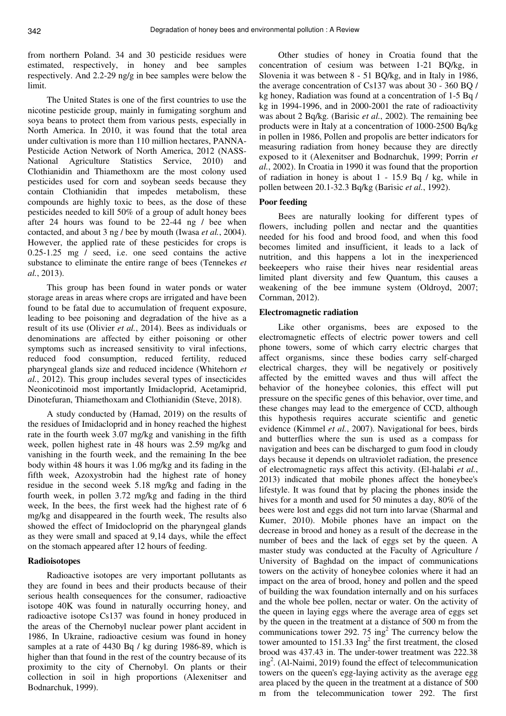from northern Poland. 34 and 30 pesticide residues were estimated, respectively, in honey and bee samples respectively. And 2.2-29 ng/g in bee samples were below the limit.

The United States is one of the first countries to use the nicotine pesticide group, mainly in fumigating sorghum and soya beans to protect them from various pests, especially in North America. In 2010, it was found that the total area under cultivation is more than 110 million hectares, PANNA-Pesticide Action Network of North America, 2012 (NASS-National Agriculture Statistics Service, 2010) and Clothianidin and Thiamethoxm are the most colony used pesticides used for corn and soybean seeds because they contain Clothianidin that impedes metabolism, these compounds are highly toxic to bees, as the dose of these pesticides needed to kill 50% of a group of adult honey bees after 24 hours was found to be 22-44 ng / bee when contacted, and about 3 ng / bee by mouth (Iwasa *et al.*, 2004). However, the applied rate of these pesticides for crops is 0.25-1.25 mg / seed, i.e. one seed contains the active substance to eliminate the entire range of bees (Tennekes *et al.*, 2013).

This group has been found in water ponds or water storage areas in areas where crops are irrigated and have been found to be fatal due to accumulation of frequent exposure, leading to bee poisoning and degradation of the hive as a result of its use (Olivier *et al.*, 2014). Bees as individuals or denominations are affected by either poisoning or other symptoms such as increased sensitivity to viral infections, reduced food consumption, reduced fertility, reduced pharyngeal glands size and reduced incidence (Whitehorn *et al.*, 2012). This group includes several types of insecticides Neonicotinoid most importantly Imidacloprid, Acetamiprid, Dinotefuran, Thiamethoxam and Clothianidin (Steve, 2018).

A study conducted by (Hamad, 2019) on the results of the residues of Imidacloprid and in honey reached the highest rate in the fourth week 3.07 mg/kg and vanishing in the fifth week, pollen highest rate in 48 hours was 2.59 mg/kg and vanishing in the fourth week, and the remaining In the bee body within 48 hours it was 1.06 mg/kg and its fading in the fifth week, Azoxystrobin had the highest rate of honey residue in the second week 5.18 mg/kg and fading in the fourth week, in pollen 3.72 mg/kg and fading in the third week, In the bees, the first week had the highest rate of 6 mg/kg and disappeared in the fourth week, The results also showed the effect of Imidocloprid on the pharyngeal glands as they were small and spaced at 9,14 days, while the effect on the stomach appeared after 12 hours of feeding.

## **Radioisotopes**

Radioactive isotopes are very important pollutants as they are found in bees and their products because of their serious health consequences for the consumer, radioactive isotope 40K was found in naturally occurring honey, and radioactive isotope Cs137 was found in honey produced in the areas of the Chernobyl nuclear power plant accident in 1986, In Ukraine, radioactive cesium was found in honey samples at a rate of 4430 Bq / kg during 1986-89, which is higher than that found in the rest of the country because of its proximity to the city of Chernobyl. On plants or their collection in soil in high proportions (Alexenitser and Bodnarchuk, 1999).

Other studies of honey in Croatia found that the concentration of cesium was between 1-21 BQ/kg, in Slovenia it was between 8 - 51 BQ/kg, and in Italy in 1986, the average concentration of Cs137 was about 30 - 360 BQ / kg honey, Radiation was found at a concentration of 1-5 Bq / kg in 1994-1996, and in 2000-2001 the rate of radioactivity was about 2 Bq/kg. (Barisic *et al.*, 2002). The remaining bee products were in Italy at a concentration of 1000-2500 Bq/kg in pollen in 1986, Pollen and propolis are better indicators for measuring radiation from honey because they are directly exposed to it (Alexenitser and Bodnarchuk, 1999; Porrin *et al.*, 2002). In Croatia in 1990 it was found that the proportion of radiation in honey is about 1 - 15.9 Bq / kg, while in pollen between 20.1-32.3 Bq/kg (Barisic *et al.*, 1992).

#### **Poor feeding**

Bees are naturally looking for different types of flowers, including pollen and nectar and the quantities needed for his food and brood food, and when this food becomes limited and insufficient, it leads to a lack of nutrition, and this happens a lot in the inexperienced beekeepers who raise their hives near residential areas limited plant diversity and few Quantum, this causes a weakening of the bee immune system (Oldroyd, 2007; Cornman, 2012).

# **Electromagnetic radiation**

Like other organisms, bees are exposed to the electromagnetic effects of electric power towers and cell phone towers, some of which carry electric charges that affect organisms, since these bodies carry self-charged electrical charges, they will be negatively or positively affected by the emitted waves and thus will affect the behavior of the honeybee colonies, this effect will put pressure on the specific genes of this behavior, over time, and these changes may lead to the emergence of CCD, although this hypothesis requires accurate scientific and genetic evidence (Kimmel *et al.*, 2007). Navigational for bees, birds and butterflies where the sun is used as a compass for navigation and bees can be discharged to gum food in cloudy days because it depends on ultraviolet radiation, the presence of electromagnetic rays affect this activity. (El-halabi *et al.*, 2013) indicated that mobile phones affect the honeybee's lifestyle. It was found that by placing the phones inside the hives for a month and used for 50 minutes a day, 80% of the bees were lost and eggs did not turn into larvae (Sharmal and Kumer, 2010). Mobile phones have an impact on the decrease in brood and honey as a result of the decrease in the number of bees and the lack of eggs set by the queen. A master study was conducted at the Faculty of Agriculture / University of Baghdad on the impact of communications towers on the activity of honeybee colonies where it had an impact on the area of brood, honey and pollen and the speed of building the wax foundation internally and on his surfaces and the whole bee pollen, nectar or water. On the activity of the queen in laying eggs where the average area of eggs set by the queen in the treatment at a distance of 500 m from the communications tower 292. 75 ing<sup>2</sup> The currency below the tower amounted to  $151.33 \text{ Ing}^2$  the first treatment, the closed brood was 437.43 in. The under-tower treatment was 222.38 ing<sup>2</sup> . (Al-Naimi, 2019) found the effect of telecommunication towers on the queen's egg-laying activity as the average egg area placed by the queen in the treatment at a distance of 500 m from the telecommunication tower 292. The first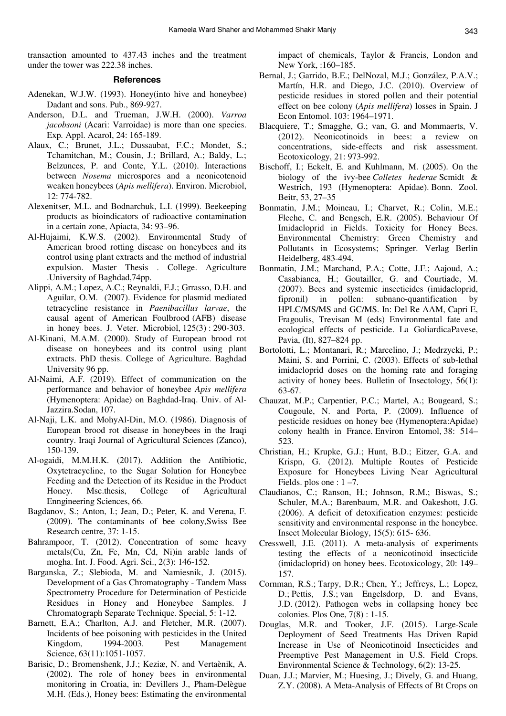transaction amounted to 437.43 inches and the treatment under the tower was 222.38 inches.

#### **References**

- Adenekan, W.J.W. (1993). Honey(into hive and honeybee) Dadant and sons. Pub., 869-927.
- Anderson, D.L. and Trueman, J.W.H. (2000). *Varroa jacobsoni* (Acari: Varroidae) is more than one species. Exp*.* Appl. Acarol, 24: 165-189.
- Alaux, C.; Brunet, J.L.; Dussaubat, F.C.; Mondet, S.; Tchamitchan, M.; Cousin, J.; Brillard, A.; Baldy, L.; Belzunces, P. and Conte, Y.L. (2010). Interactions between *Nosema* microspores and a neonicotenoid weaken honeybees (*Apis mellifera*). Environ. Microbiol, 12: 774-782.
- Alexenitser, M.L. and Bodnarchuk, L.I. (1999). Beekeeping products as bioindicators of radioactive contamination in a certain zone, Apiacta, 34: 93–96.
- Al-Hujaimi, K.W.S. (2002). Environmental Study of American brood rotting disease on honeybees and its control using plant extracts and the method of industrial expulsion. Master Thesis . College. Agriculture .University of Baghdad,74pp.
- Alippi, A.M.; Lopez, A.C.; Reynaldi, F.J.; Grrasso, D.H. and Aguilar, O.M. (2007). Evidence for plasmid mediated tetracycline resistance in *Paenibacillus larvae*, the causal agent of American Foulbrood (AFB) disease in honey bees. J. Veter. Microbiol, 125(3) : 290-303.
- Al-Kinani, M.A.M. (2000). Study of European brood rot disease on honeybees and its control using plant extracts. PhD thesis. College of Agriculture. Baghdad University 96 pp.
- Al-Naimi, A.F. (2019). Effect of communication on the performance and behavior of honeybee *Apis mellifera*  (Hymenoptera: Apidae) on Baghdad-Iraq. Univ. of Al-Jazzira.Sodan, 107.
- Al-Naji, L.K. and MohyAl-Din, M.O. (1986). Diagnosis of European brood rot disease in honeybees in the Iraqi country. Iraqi Journal of Agricultural Sciences (Zanco), 150-139.
- Al-ogaidi, M.M.H.K. (2017). Addition the Antibiotic, Oxytetracycline, to the Sugar Solution for Honeybee Feeding and the Detection of its Residue in the Product Honey. Msc.thesis, College of Agricultural Enngineering Sciences, 66.
- Bagdanov, S.; Anton, I.; Jean, D.; Peter, K. and Verena, F. (2009). The contaminants of bee colony,Swiss Bee Research centre, 37: 1-15.
- Bahrampoor, T. (2012). Concentration of some heavy metals(Cu, Zn, Fe, Mn, Cd, Ni)in arable lands of mogha. Int. J. Food. Agri. Sci., 2(3): 146-152.
- Barganska, Z.; Slebioda, M. and Namiesnik, J. (2015). Development of a Gas Chromatography - Tandem Mass Spectrometry Procedure for Determination of Pesticide Residues in Honey and Honeybee Samples. J Chromatograph Separate Technique. Special, 5: 1-12.
- Barnett, E.A.; Charlton, A.J. and Fletcher, M.R. (2007). Incidents of bee poisoning with pesticides in the United Kingdom, 1994-2003. Pest Management Science, 63(11):1051-1057.
- Barisic, D.; Bromenshenk, J.J.; Keziæ, N. and Vertaènik, A. (2002). The role of honey bees in environmental monitoring in Croatia, in: Devillers J., Pham-Delègue M.H. (Eds.), Honey bees: Estimating the environmental

impact of chemicals, Taylor & Francis, London and New York, :160–185.

- Bernal, J.; Garrido, B.E.; DelNozal, M.J.; González, P.A.V.; Martín, H.R. and Diego, J.C. (2010). Overview of pesticide residues in stored pollen and their potential effect on bee colony (*Apis mellifera*) losses in Spain. J Econ Entomol. 103: 1964–1971.
- Blacquiere, T.; Smagghe, G.; van, G. and Mommaerts, V. (2012). Neonicotinoids in bees: a review on concentrations, side-effects and risk assessment. Ecotoxicology, 21: 973-992.
- Bischoff, I.; Eckelt, E. and Kuhlmann, M. (2005). On the biology of the ivy-bee *Colletes hederae* Scmidt & Westrich, 193 (Hymenoptera: Apidae). Bonn. Zool. Beitr, 53, 27–35
- Bonmatin, J.M.; Moineau, I.; Charvet, R.; Colin, M.E.; Fleche, C. and Bengsch, E.R. (2005). Behaviour Of Imidacloprid in Fields. Toxicity for Honey Bees. Environmental Chemistry: Green Chemistry and Pollutants in Ecosystems; Springer. Verlag Berlin Heidelberg, 483-494.
- Bonmatin, J.M.; Marchand, P.A.; Cotte, J.F.; Aajoud, A.; Casabianca, H.; Goutailler, G. and Courtiade, M. (2007). Bees and systemic insecticides (imidacloprid, fipronil) in pollen: subnano-quantification by HPLC/MS/MS and GC/MS. In: Del Re AAM, Capri E, Fragoulis, Trevisan M (eds) Environmental fate and ecological effects of pesticide. La GoliardicaPavese, Pavia, (It), 827–824 pp.
- Bortolotti, L.; Montanari, R.; Marcelino, J.; Medrzycki, P.; Maini, S. and Porrini, C. (2003). Effects of sub-lethal imidacloprid doses on the homing rate and foraging activity of honey bees. Bulletin of Insectology, 56(1): 63-67.
- Chauzat, M.P.; Carpentier, P.C.; Martel, A.; Bougeard, S.; Cougoule, N. and Porta, P. (2009). Influence of pesticide residues on honey bee (Hymenoptera:Apidae) colony health in France. Environ Entomol, 38: 514– 523.
- Christian, H.; Krupke, G.J.; Hunt, B.D.; Eitzer, G.A. and Krispn, G. (2012). Multiple Routes of Pesticide Exposure for Honeybees Living Near Agricultural Fields. plos one :  $1 - 7$ .
- Claudianos, C.; Ranson, H.; Johnson, R.M.; Biswas, S.; Schuler, M.A.; Barenbaum, M.R. and Oakeshott, J.G. (2006). A deficit of detoxification enzymes: pesticide sensitivity and environmental response in the honeybee. Insect Molecular Biology, 15(5): 615- 636.
- Cresswell, J.E. (2011). A meta-analysis of experiments testing the effects of a neonicotinoid insecticide (imidacloprid) on honey bees. Ecotoxicology, 20: 149– 157.
- Cornman, R.S.; Tarpy, D.R.; Chen, Y.; Jeffreys, L.; Lopez, D.; Pettis, J.S.; van Engelsdorp, D. and Evans, J.D. (2012). Pathogen webs in collapsing honey bee colonies. Plos One, 7(8) : 1-15.
- Douglas, M.R. and Tooker, J.F. (2015). Large-Scale Deployment of Seed Treatments Has Driven Rapid Increase in Use of Neonicotinoid Insecticides and Preemptive Pest Management in U.S. Field Crops. Environmental Science & Technology, 6(2): 13-25.
- Duan, J.J.; Marvier, M.; Huesing, J.; Dively, G. and Huang, Z.Y. (2008). A Meta-Analysis of Effects of Bt Crops on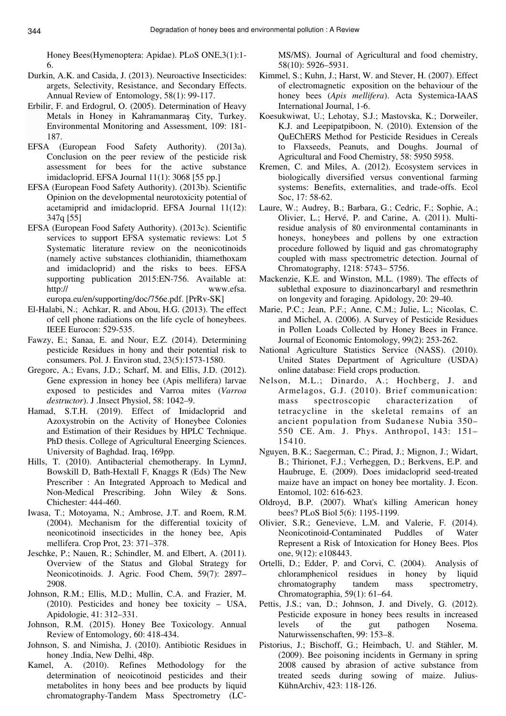Honey Bees(Hymenoptera: Apidae). PLoS ONE,3(1):1- 6.

- Durkin, A.K. and Casida, J. (2013). Neuroactive Insecticides: argets, Selectivity, Resistance, and Secondary Effects. Annual Review of Entomology, 58(1): 99-117.
- Erbilir, F. and Erdogrul, O. (2005). Determination of Heavy Metals in Honey in Kahramanmaraş City, Turkey. Environmental Monitoring and Assessment, 109: 181- 187.
- EFSA (European Food Safety Authority). (2013a). Conclusion on the peer review of the pesticide risk assessment for bees for the active substance imidacloprid. EFSA Journal 11(1): 3068 [55 pp.]
- EFSA (European Food Safety Authority). (2013b). Scientific Opinion on the developmental neurotoxicity potential of acetamiprid and imidacloprid. EFSA Journal 11(12): 347q [55]
- EFSA (European Food Safety Authority). (2013c). Scientific services to support EFSA systematic reviews: Lot 5 Systematic literature review on the neonicotinoids (namely active substances clothianidin, thiamethoxam and imidacloprid) and the risks to bees. EFSA supporting publication 2015:EN-756. Available at: http:// www.efsa. europa.eu/en/supporting/doc/756e.pdf. [PrRv-SK]
- El-Halabi, N.; Achkar, R. and Abou, H.G. (2013). The effect of cell phone radiations on the life cycle of honeybees. IEEE Eurocon: 529-535.
- Fawzy, E.; Sanaa, E. and Nour, E.Z. (2014). Determining pesticide Residues in hony and their potential risk to consumers. Pol. J. Environ stud, 23(5):1573-1580.
- Gregorc, A.; Evans, J.D.; Scharf, M. and Ellis, J.D. (2012). Gene expression in honey bee (Apis mellifera) larvae exposed to pesticides and Varroa mites (*Varroa destructor*). J .Insect Physiol, 58: 1042–9.
- Hamad, S.T.H. (2019). Effect of Imidacloprid and Azoxystrobin on the Activity of Honeybee Colonies and Estimation of their Residues by HPLC Technique. PhD thesis. College of Agricultural Eneerging Sciences. University of Baghdad. Iraq, 169pp.
- Hills, T. (2010). Antibacterial chemotherapy. In LymnJ, Bowskill D, Bath-Hextall F, Knaggs R (Eds) The New Prescriber : An Integrated Approach to Medical and Non-Medical Prescribing. John Wiley & Sons. Chichester: 444-460.
- Iwasa, T.; Motoyama, N.; Ambrose, J.T. and Roem, R.M. (2004). Mechanism for the differential toxicity of neonicotinoid insecticides in the honey bee, Apis mellifera. Crop Prot, 23: 371–378.
- Jeschke, P.; Nauen, R.; Schindler, M. and Elbert, A. (2011). Overview of the Status and Global Strategy for Neonicotinoids. J. Agric. Food Chem, 59(7): 2897– 2908.
- Johnson, R.M.; Ellis, M.D.; Mullin, C.A. and Frazier, M. (2010). Pesticides and honey bee toxicity – USA, Apidologie, 41: 312–331.
- Johnson, R.M. (2015). Honey Bee Toxicology. Annual Review of Entomology, 60: 418-434.
- Johnson, S. and Nimisha, J. (2010). Antibiotic Residues in honey .India, New Delhi, 48p.
- Kamel, A. (2010). Refines Methodology for the determination of neoicotinoid pesticides and their metabolites in hony bees and bee products by liquid chromatography-Tandem Mass Spectrometry (LC-

MS/MS). Journal of Agricultural and food chemistry, 58(10): 5926–5931.

- Kimmel, S.; Kuhn, J.; Harst, W. and Stever, H. (2007). Effect of electromagnetic exposition on the behaviour of the honey bees (*Apis mellifera*). Acta Systemica-IAAS International Journal, 1-6.
- Koesukwiwat, U.; Lehotay, S.J.; Mastovska, K.; Dorweiler, K.J. and Leepipatpiboon, N. (2010). Extension of the QuEChERS Method for Pesticide Residues in Cereals to Flaxseeds, Peanuts, and Doughs. Journal of Agricultural and Food Chemistry, 58: 5950 5958.
- Kremen, C. and Miles, A. (2012). Ecosystem services in biologically diversified versus conventional farming systems: Benefits, externalities, and trade-offs. Ecol Soc, 17: 58-62.
- Laure, W.; Audrey, B.; Barbara, G.; Cedric, F.; Sophie, A.; Olivier, L.; Hervé, P. and Carine, A. (2011). Multiresidue analysis of 80 environmental contaminants in honeys, honeybees and pollens by one extraction procedure followed by liquid and gas chromatography coupled with mass spectrometric detection. Journal of Chromatography, 1218: 5743– 5756.
- Mackenzie, K.E. and Winston, M.L. (1989). The effects of sublethal exposure to diazinoncarbaryl and resmethrin on longevity and foraging. Apidology, 20: 29-40.
- Marie, P.C.; Jean, P.F.; Anne, C.M.; Julie, L.; Nicolas, C. and Michel, A. (2006). A Survey of Pesticide Residues in Pollen Loads Collected by Honey Bees in France. Journal of Economic Entomology, 99(2): 253-262.
- National Agriculture Statistics Service (NASS). (2010). United States Department of Agriculture (USDA) online database: Field crops production.
- Nelson, M.L.; Dinardo, A.; Hochberg, J. and Armelagos, G.J. (2010). Brief communication: mass spectroscopic characterization of tetracycline in the skeletal remains of an ancient population from Sudanese Nubia 350– 550 CE. Am. J. Phys. Anthropol, 143: 151– 15410.
- Nguyen, B.K.; Saegerman, C.; Pirad, J.; Mignon, J.; Widart, B.; Thirionet, F.J.; Verheggen, D.; Berkvens, E.P. and Haubruge, E. (2009). Does imidacloprid seed-treated maize have an impact on honey bee mortality. J. Econ. Entomol, 102: 616-623.
- Oldroyd, B.P. (2007). What's killing American honey bees? PLoS Biol 5(6): 1195-1199.
- Olivier, S.R.; Genevieve, L.M. and Valerie, F. (2014). Neonicotinoid-Contaminated Puddles of Water Represent a Risk of Intoxication for Honey Bees. Plos one, 9(12): e108443.
- Ortelli, D.; Edder, P. and Corvi, C. (2004). Analysis of chloramphenicol residues in honey by liquid chromatography tandem mass spectrometry, Chromatographia, 59(1): 61–64.
- Pettis, J.S.; van, D.; Johnson, J. and Dively, G. (2012). Pesticide exposure in honey bees results in increased levels of the gut pathogen Nosema. Naturwissenschaften, 99: 153–8.
- Pistorius, J.; Bischoff, G.; Heimbach, U. and Stähler, M. (2009). Bee poisoning incidents in Germany in spring 2008 caused by abrasion of active substance from treated seeds during sowing of maize. Julius-KühnArchiv, 423: 118-126.